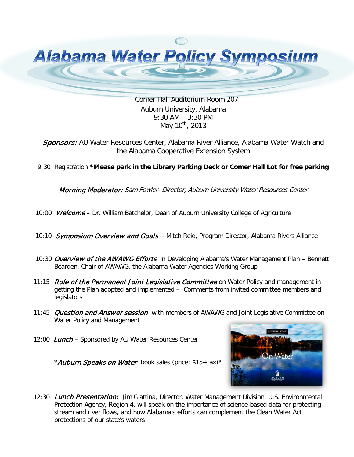

 [Comer Hall Auditorium-Room 207](http://www.google.com/url?sa=i&rct=j&q=&esrc=s&frm=1&source=images&cd=&cad=rja&docid=nAmoelQFNs9XuM&tbnid=46jVdR1iNJoeJM:&ved=0CAUQjRw&url=http://www.vectorfree.com/water-droplet&ei=ZXxlUdOOO4re9ASWsoHoDw&bvm=bv.44990110,d.eWU&psig=AFQjCNGaGgkWYEydNGtgMX701noJEyTqhg&ust=1365691201386180) Auburn University, Alabama 9:30 AM – 3:30 PM May  $10^{th}$ , 2013

Sponsors: AU Water Resources Center, Alabama River Alliance, Alabama Water Watch and the Alabama Cooperative Extension System

9:30 Registration **\*Please park in the Library Parking Deck or Comer Hall Lot for free parking**

**Morning Moderator:** Sam Fowler- Director, Auburn University Water Resources Center

- 10:00 Welcome Dr. William Batchelor, Dean of Auburn University College of Agriculture
- 10:10 Symposium Overview and Goals -- Mitch Reid, Program Director, Alabama Rivers Alliance
- 10:30 Overview of the AWAWG Efforts in Developing Alabama's Water Management Plan Bennett Bearden, Chair of AWAWG, the Alabama Water Agencies Working Group
- 11:15 *Role of the Permanent Joint Legislative Committee* on Water Policy and management in getting the Plan adopted and implemented – Comments from invited committee members and legislators
- 11:45 *Question and Answer session* with members of AWAWG and Joint Legislative Committee on Water Policy and Management
- 12:00 Lunch Sponsored by AU Water Resources Center

- \*Auburn Speaks on Water book sales (price: \$15+tax)\*
- 12:30 *Lunch Presentation:* Jim Giattina, Director, Water Management Division, U.S. Environmental Protection Agency, Region 4, will speak on the importance of science-based data for protecting stream and river flows, and how Alabama's efforts can complement the Clean Water Act protections of our state's waters